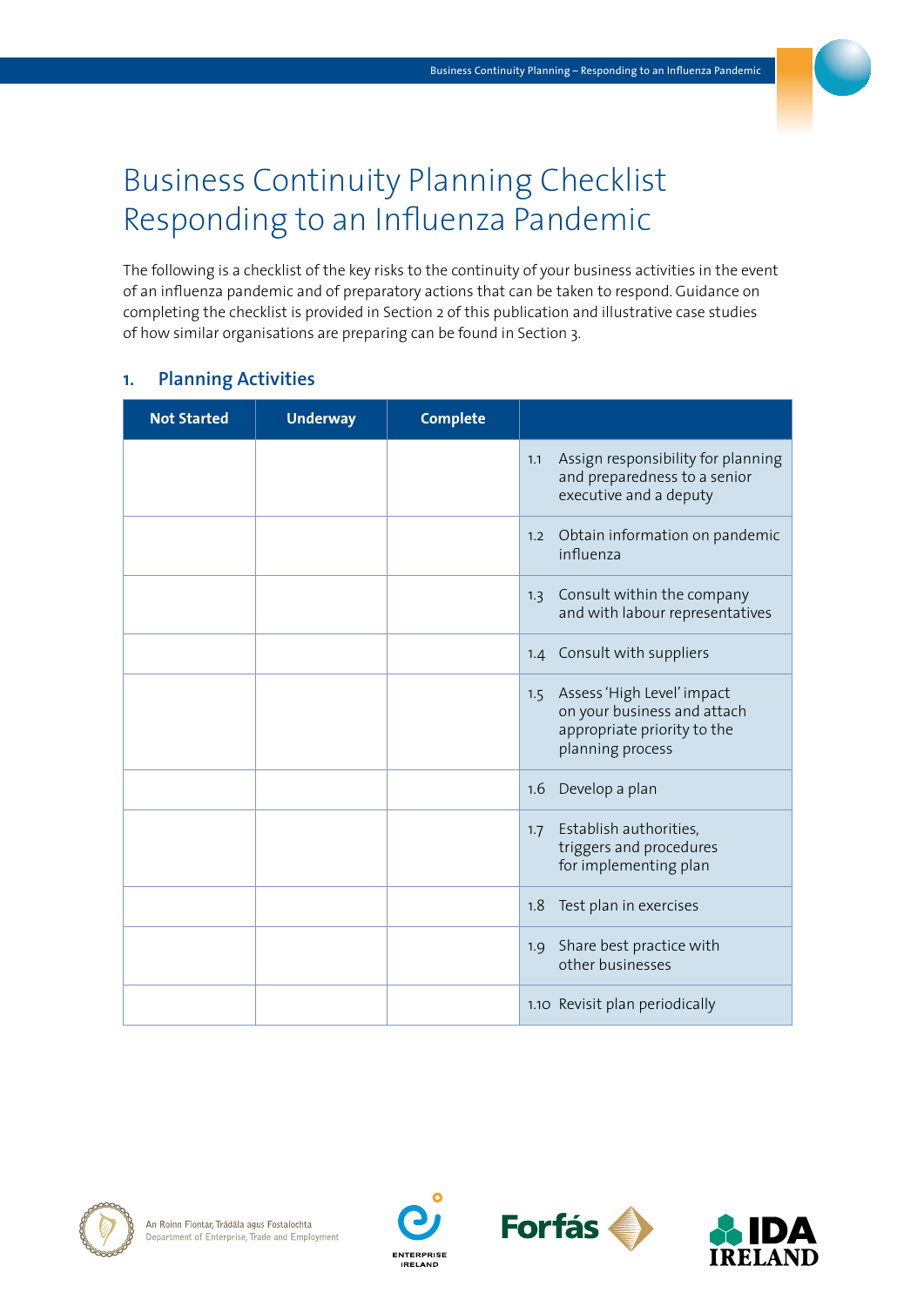# Business Continuity Planning Checklist Responding to an Influenza Pandemic

The following is a checklist of the key risks to the continuity of your business activities in the event of an influenza pandemic and of preparatory actions that can be taken to respond. Guidance on completing the checklist is provided in Section 2 of this publication and illustrative case studies of how similar organisations are preparing can be found in Section 3.

#### **1. Planning Activities**

| <b>Not Started</b> | <b>Underway</b> | <b>Complete</b> |                                                                                                                     |
|--------------------|-----------------|-----------------|---------------------------------------------------------------------------------------------------------------------|
|                    |                 |                 | Assign responsibility for planning<br>1.1<br>and preparedness to a senior<br>executive and a deputy                 |
|                    |                 |                 | Obtain information on pandemic<br>1.2<br>influenza                                                                  |
|                    |                 |                 | Consult within the company<br>1.3<br>and with labour representatives                                                |
|                    |                 |                 | 1.4 Consult with suppliers                                                                                          |
|                    |                 |                 | Assess 'High Level' impact<br>1.5<br>on your business and attach<br>appropriate priority to the<br>planning process |
|                    |                 |                 | Develop a plan<br>1.6                                                                                               |
|                    |                 |                 | Establish authorities,<br>1.7<br>triggers and procedures<br>for implementing plan                                   |
|                    |                 |                 | Test plan in exercises<br>1.8                                                                                       |
|                    |                 |                 | Share best practice with<br>1.9<br>other businesses                                                                 |
|                    |                 |                 | 1.10 Revisit plan periodically                                                                                      |







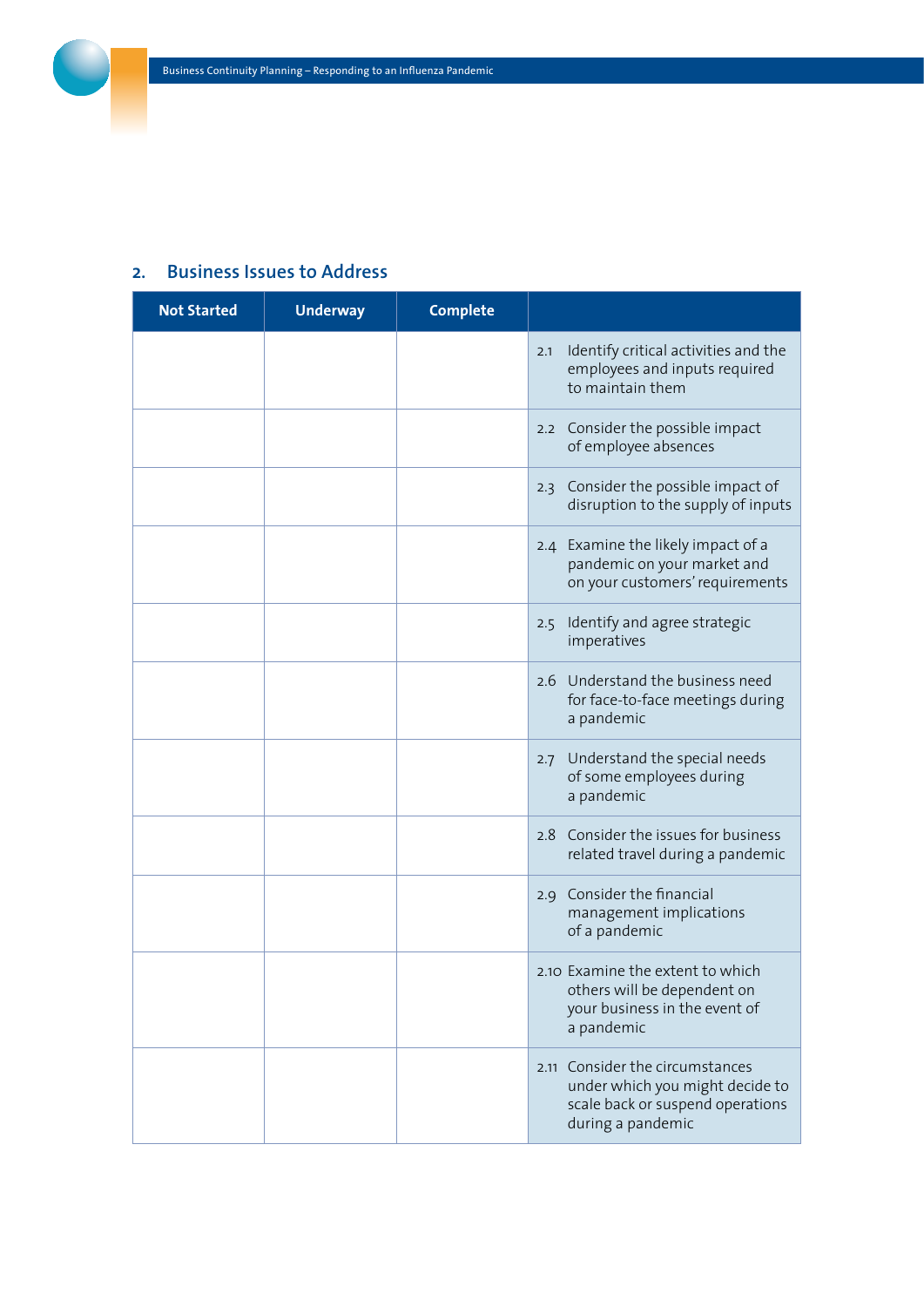## **2. Business Issues to Address**

| <b>Not Started</b> | <b>Underway</b> | <b>Complete</b> |                                                                                                                                |
|--------------------|-----------------|-----------------|--------------------------------------------------------------------------------------------------------------------------------|
|                    |                 |                 | Identify critical activities and the<br>2.1<br>employees and inputs required<br>to maintain them                               |
|                    |                 |                 | 2.2 Consider the possible impact<br>of employee absences                                                                       |
|                    |                 |                 | 2.3 Consider the possible impact of<br>disruption to the supply of inputs                                                      |
|                    |                 |                 | 2.4 Examine the likely impact of a<br>pandemic on your market and<br>on your customers' requirements                           |
|                    |                 |                 | 2.5 Identify and agree strategic<br>imperatives                                                                                |
|                    |                 |                 | 2.6 Understand the business need<br>for face-to-face meetings during<br>a pandemic                                             |
|                    |                 |                 | Understand the special needs<br>2.7<br>of some employees during<br>a pandemic                                                  |
|                    |                 |                 | 2.8 Consider the issues for business<br>related travel during a pandemic                                                       |
|                    |                 |                 | 2.9 Consider the financial<br>management implications<br>of a pandemic                                                         |
|                    |                 |                 | 2.10 Examine the extent to which<br>others will be dependent on<br>your business in the event of<br>a pandemic                 |
|                    |                 |                 | Consider the circumstances<br>2.11<br>under which you might decide to<br>scale back or suspend operations<br>during a pandemic |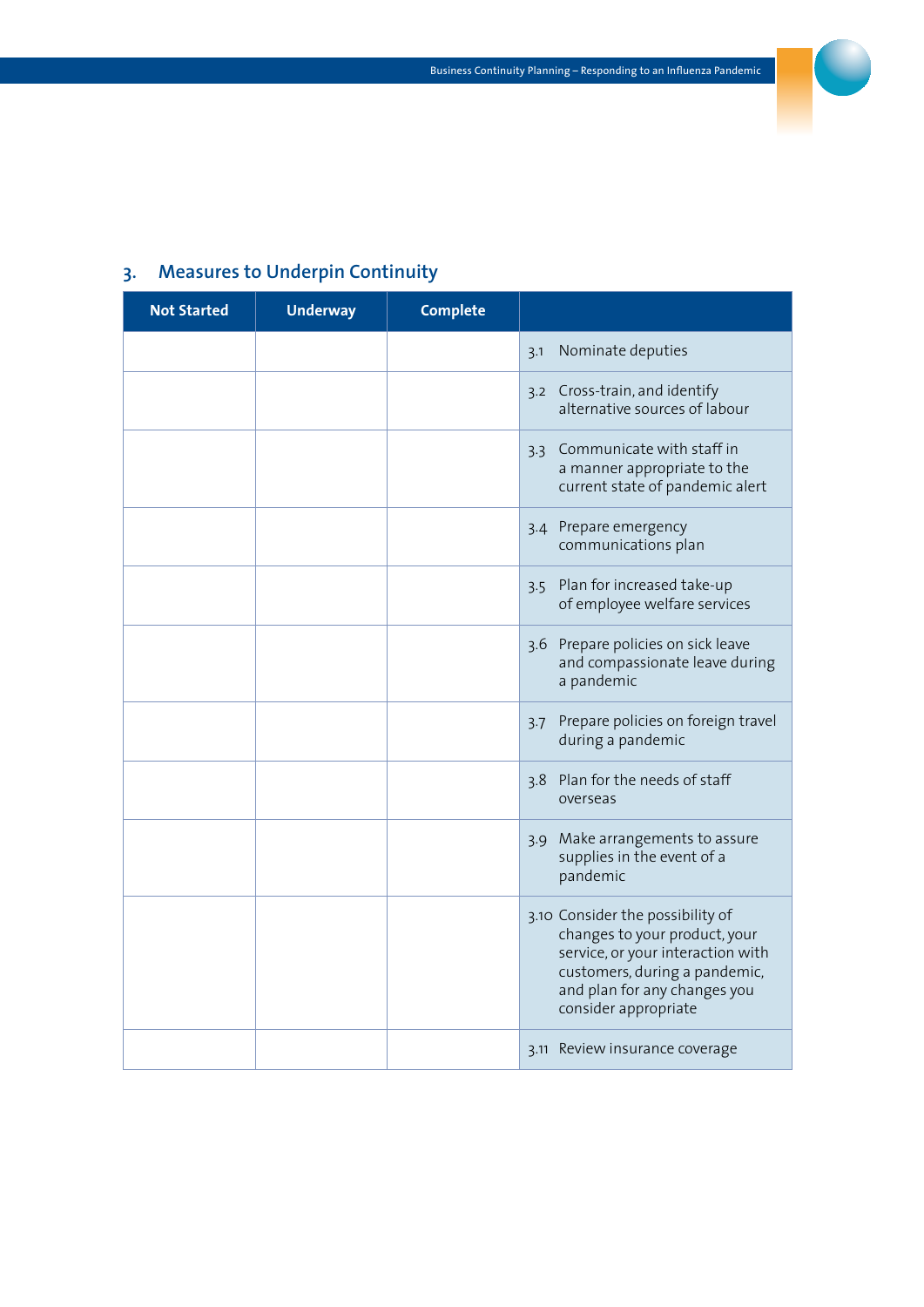

## **3. Measures to Underpin Continuity**

| <b>Not Started</b> | <b>Underway</b> | <b>Complete</b> |                                                                                                                                                                                                 |
|--------------------|-----------------|-----------------|-------------------------------------------------------------------------------------------------------------------------------------------------------------------------------------------------|
|                    |                 |                 | Nominate deputies<br>3.1                                                                                                                                                                        |
|                    |                 |                 | 3.2 Cross-train, and identify<br>alternative sources of labour                                                                                                                                  |
|                    |                 |                 | 3.3 Communicate with staff in<br>a manner appropriate to the<br>current state of pandemic alert                                                                                                 |
|                    |                 |                 | 3.4 Prepare emergency<br>communications plan                                                                                                                                                    |
|                    |                 |                 | 3.5 Plan for increased take-up<br>of employee welfare services                                                                                                                                  |
|                    |                 |                 | 3.6 Prepare policies on sick leave<br>and compassionate leave during<br>a pandemic                                                                                                              |
|                    |                 |                 | Prepare policies on foreign travel<br>3.7<br>during a pandemic                                                                                                                                  |
|                    |                 |                 | 3.8 Plan for the needs of staff<br>overseas                                                                                                                                                     |
|                    |                 |                 | Make arrangements to assure<br>3.9<br>supplies in the event of a<br>pandemic                                                                                                                    |
|                    |                 |                 | 3.10 Consider the possibility of<br>changes to your product, your<br>service, or your interaction with<br>customers, during a pandemic,<br>and plan for any changes you<br>consider appropriate |
|                    |                 |                 | 3.11 Review insurance coverage                                                                                                                                                                  |